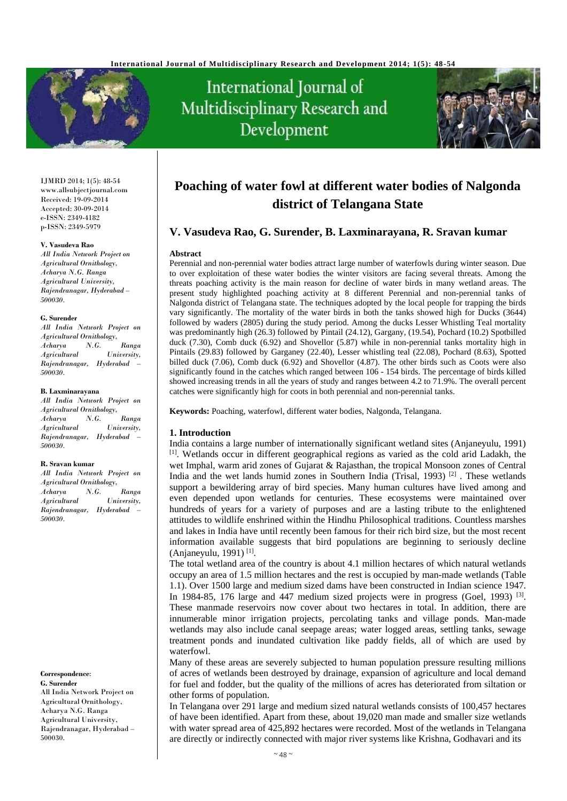

# International Journal of Multidisciplinary Research and Development



IJMRD 2014; 1(5): 48-54 www.allsubjectjournal.com Received: 19-09-2014 Accepted: 30-09-2014 e-ISSN: 2349-4182 p-ISSN: 2349-5979

#### **V. Vasudeva Rao**

*All India Network Project on Agricultural Ornithology, Acharya N.G. Ranga Agricultural University, Rajendranagar, Hyderabad – 500030.*

#### **G. Surender**

*All India Network Project on Agricultural Ornithology, Acharya N.G. Ranga Agricultural University, Rajendranagar, Hyderabad – 500030.* 

#### **B. Laxminarayana**

*All India Network Project on Agricultural Ornithology, Acharya N.G. Ranga Agricultural University, Rajendranagar, Hyderabad – 500030.* 

#### **R. Sravan kumar**

*All India Network Project on Agricultural Ornithology, Acharya N.G. Ranga Agricultural University, Rajendranagar, Hyderabad – 500030.* 

#### **Correspondence**:

**G. Surender** All India Network Project on Agricultural Ornithology, Acharya N.G. Ranga Agricultural University, Rajendranagar, Hyderabad – 500030.

# **Poaching of water fowl at different water bodies of Nalgonda district of Telangana State**

# **V. Vasudeva Rao, G. Surender, B. Laxminarayana, R. Sravan kumar**

#### **Abstract**

Perennial and non-perennial water bodies attract large number of waterfowls during winter season. Due to over exploitation of these water bodies the winter visitors are facing several threats. Among the threats poaching activity is the main reason for decline of water birds in many wetland areas. The present study highlighted poaching activity at 8 different Perennial and non-perennial tanks of Nalgonda district of Telangana state. The techniques adopted by the local people for trapping the birds vary significantly. The mortality of the water birds in both the tanks showed high for Ducks (3644) followed by waders (2805) during the study period. Among the ducks Lesser Whistling Teal mortality was predominantly high (26.3) followed by Pintail (24.12), Gargany, (19.54), Pochard (10.2) Spotbilled duck (7.30), Comb duck (6.92) and Shovellor (5.87) while in non-perennial tanks mortality high in Pintails (29.83) followed by Garganey (22.40), Lesser whistling teal (22.08), Pochard (8.63), Spotted billed duck (7.06), Comb duck (6.92) and Shovellor (4.87). The other birds such as Coots were also significantly found in the catches which ranged between 106 - 154 birds. The percentage of birds killed showed increasing trends in all the years of study and ranges between 4.2 to 71.9%. The overall percent catches were significantly high for coots in both perennial and non-perennial tanks.

**Keywords:** Poaching, waterfowl, different water bodies, Nalgonda, Telangana.

## **1. Introduction**

India contains a large number of internationally significant wetland sites (Anjaneyulu, 1991) [1]. Wetlands occur in different geographical regions as varied as the cold arid Ladakh, the wet Imphal, warm arid zones of Gujarat & Rajasthan, the tropical Monsoon zones of Central India and the wet lands humid zones in Southern India (Trisal, 1993) [2] . These wetlands support a bewildering array of bird species. Many human cultures have lived among and even depended upon wetlands for centuries. These ecosystems were maintained over hundreds of years for a variety of purposes and are a lasting tribute to the enlightened attitudes to wildlife enshrined within the Hindhu Philosophical traditions. Countless marshes and lakes in India have until recently been famous for their rich bird size, but the most recent information available suggests that bird populations are beginning to seriously decline (Anjaneyulu, 1991) [1].

The total wetland area of the country is about 4.1 million hectares of which natural wetlands occupy an area of 1.5 million hectares and the rest is occupied by man-made wetlands (Table 1.1). Over 1500 large and medium sized dams have been constructed in Indian science 1947. In 1984-85, 176 large and 447 medium sized projects were in progress (Goel, 1993)  $^{[3]}$ . These manmade reservoirs now cover about two hectares in total. In addition, there are innumerable minor irrigation projects, percolating tanks and village ponds. Man-made wetlands may also include canal seepage areas; water logged areas, settling tanks, sewage treatment ponds and inundated cultivation like paddy fields, all of which are used by waterfowl.

Many of these areas are severely subjected to human population pressure resulting millions of acres of wetlands been destroyed by drainage, expansion of agriculture and local demand for fuel and fodder, but the quality of the millions of acres has deteriorated from siltation or other forms of population.

In Telangana over 291 large and medium sized natural wetlands consists of 100,457 hectares of have been identified. Apart from these, about 19,020 man made and smaller size wetlands with water spread area of 425,892 hectares were recorded. Most of the wetlands in Telangana are directly or indirectly connected with major river systems like Krishna, Godhavari and its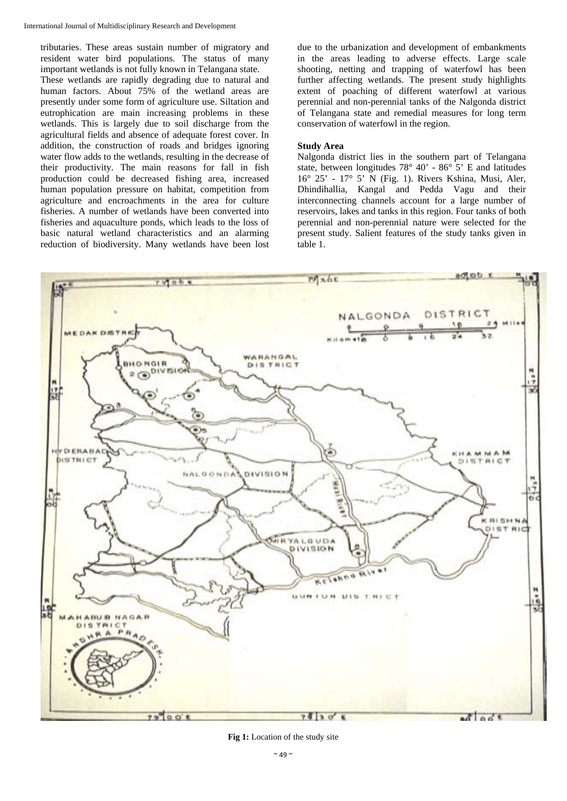International Journal of Multidisciplinary Research and Development

tributaries. These areas sustain number of migratory and resident water bird populations. The status of many important wetlands is not fully known in Telangana state. These wetlands are rapidly degrading due to natural and human factors. About 75% of the wetland areas are presently under some form of agriculture use. Siltation and eutrophication are main increasing problems in these wetlands. This is largely due to soil discharge from the agricultural fields and absence of adequate forest cover. In addition, the construction of roads and bridges ignoring water flow adds to the wetlands, resulting in the decrease of their productivity. The main reasons for fall in fish production could be decreased fishing area, increased human population pressure on habitat, competition from agriculture and encroachments in the area for culture fisheries. A number of wetlands have been converted into fisheries and aquaculture ponds, which leads to the loss of basic natural wetland characteristics and an alarming reduction of biodiversity. Many wetlands have been lost

due to the urbanization and development of embankments in the areas leading to adverse effects. Large scale shooting, netting and trapping of waterfowl has been further affecting wetlands. The present study highlights extent of poaching of different waterfowl at various perennial and non-perennial tanks of the Nalgonda district of Telangana state and remedial measures for long term conservation of waterfowl in the region.

## **Study Area**

Nalgonda district lies in the southern part of Telangana state, between longitudes 78° 40' - 86° 5' E and latitudes 16° 25' - 17° 5' N (Fig. 1). Rivers Kshina, Musi, Aler, Dhindihallia, Kangal and Pedda Vagu and their interconnecting channels account for a large number of reservoirs, lakes and tanks in this region. Four tanks of both perennial and non-perennial nature were selected for the present study. Salient features of the study tanks given in table 1.



**Fig 1:** Location of the study site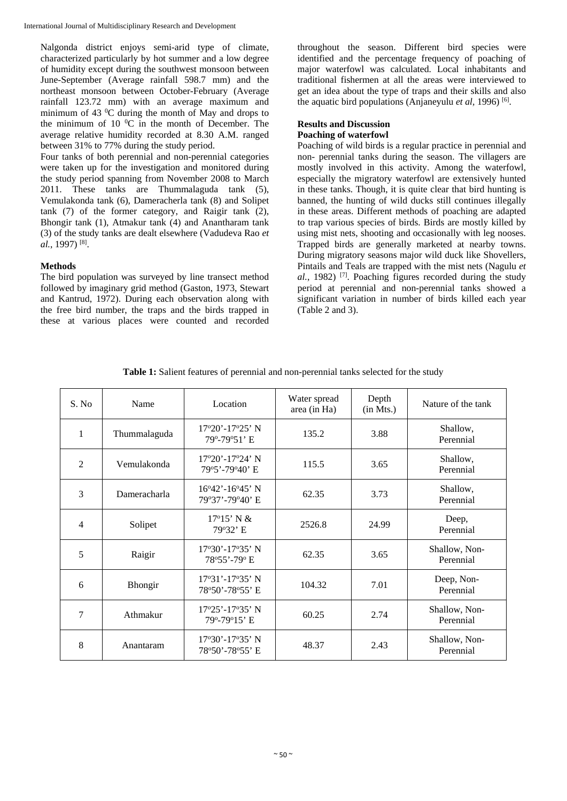Nalgonda district enjoys semi-arid type of climate, characterized particularly by hot summer and a low degree of humidity except during the southwest monsoon between June-September (Average rainfall 598.7 mm) and the northeast monsoon between October-February (Average rainfall 123.72 mm) with an average maximum and minimum of 43 $\mathrm{^{0}C}$  during the month of May and drops to the minimum of 10 $\mathrm{^0C}$  in the month of December. The average relative humidity recorded at 8.30 A.M. ranged between 31% to 77% during the study period.

Four tanks of both perennial and non-perennial categories were taken up for the investigation and monitored during the study period spanning from November 2008 to March 2011. These tanks are Thummalaguda tank (5), Vemulakonda tank (6), Dameracherla tank (8) and Solipet tank (7) of the former category, and Raigir tank (2), Bhongir tank (1), Atmakur tank (4) and Anantharam tank (3) of the study tanks are dealt elsewhere (Vadudeva Rao *et al.*, 1997) [8].

# **Methods**

The bird population was surveyed by line transect method followed by imaginary grid method (Gaston, 1973, Stewart and Kantrud, 1972). During each observation along with the free bird number, the traps and the birds trapped in these at various places were counted and recorded

throughout the season. Different bird species were identified and the percentage frequency of poaching of major waterfowl was calculated. Local inhabitants and traditional fishermen at all the areas were interviewed to get an idea about the type of traps and their skills and also the aquatic bird populations (Anjaneyulu *et al,* 1996) [6].

# **Results and Discussion Poaching of waterfowl**

Poaching of wild birds is a regular practice in perennial and non- perennial tanks during the season. The villagers are mostly involved in this activity. Among the waterfowl, especially the migratory waterfowl are extensively hunted in these tanks. Though, it is quite clear that bird hunting is banned, the hunting of wild ducks still continues illegally in these areas. Different methods of poaching are adapted to trap various species of birds. Birds are mostly killed by using mist nets, shooting and occasionally with leg nooses. Trapped birds are generally marketed at nearby towns. During migratory seasons major wild duck like Shovellers, Pintails and Teals are trapped with the mist nets (Nagulu *et al.*, 1982)<sup>[7]</sup>. Poaching figures recorded during the study period at perennial and non-perennial tanks showed a significant variation in number of birds killed each year (Table 2 and 3).

| S. No          | Name         | Location                                                         | Water spread<br>area (in Ha) | Depth<br>(in Mts.) | Nature of the tank         |
|----------------|--------------|------------------------------------------------------------------|------------------------------|--------------------|----------------------------|
| 1              | Thummalaguda | $17^{\circ}20'$ -17 $^{\circ}25'$ N<br>79 <sup>°</sup> -79°51' E | 135.2                        | 3.88               | Shallow,<br>Perennial      |
| $\overline{2}$ | Vemulakonda  | 17°20'-17°24' N<br>79°5'-79°40' E                                | 115.5                        | 3.65               | Shallow,<br>Perennial      |
| 3              | Dameracharla | $16^{\circ}42'$ -16 <sup>°</sup> 45' N<br>79°37'-79°40' E        | 62.35                        | 3.73               | Shallow,<br>Perennial      |
| $\overline{4}$ | Solipet      | $17^{\circ}15'$ N &<br>79°32' E                                  | 2526.8                       | 24.99              | Deep,<br>Perennial         |
| 5              | Raigir       | 17°30'-17°35' N<br>78°55'-79° E                                  | 62.35                        | 3.65               | Shallow, Non-<br>Perennial |
| 6              | Bhongir      | 17°31'-17°35' N<br>78°50'-78°55' E                               | 104.32                       | 7.01               | Deep, Non-<br>Perennial    |
| 7              | Athmakur     | 17°25'-17°35' N<br>79°-79°15' E                                  | 60.25                        | 2.74               | Shallow, Non-<br>Perennial |
| 8              | Anantaram    | $17^{\circ}30'$ -17°35' N<br>78°50'-78°55' E                     | 48.37                        | 2.43               | Shallow, Non-<br>Perennial |

**Table 1:** Salient features of perennial and non-perennial tanks selected for the study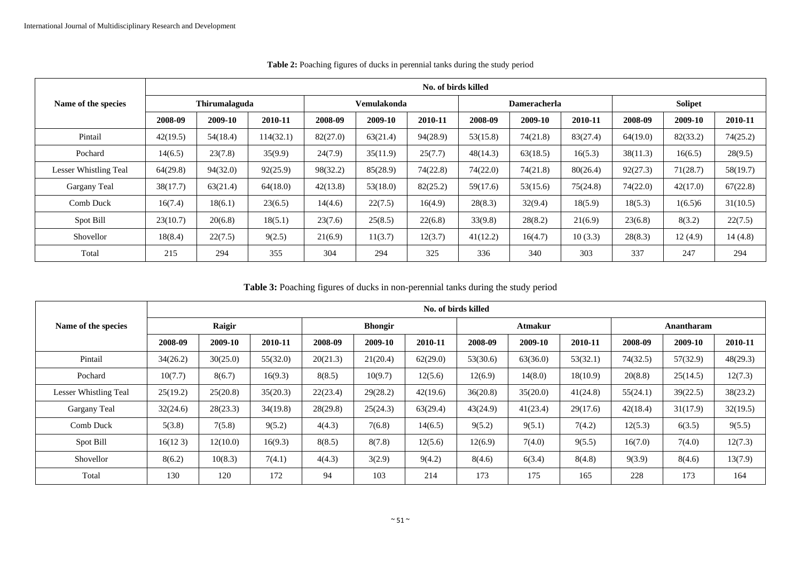|                       | No. of birds killed |          |           |             |          |          |                     |          |          |                |          |          |  |
|-----------------------|---------------------|----------|-----------|-------------|----------|----------|---------------------|----------|----------|----------------|----------|----------|--|
| Name of the species   | Thirumalaguda       |          |           | Vemulakonda |          |          | <b>Dameracherla</b> |          |          | <b>Solipet</b> |          |          |  |
|                       | 2008-09             | 2009-10  | 2010-11   | 2008-09     | 2009-10  | 2010-11  | 2008-09             | 2009-10  | 2010-11  | 2008-09        | 2009-10  | 2010-11  |  |
| Pintail               | 42(19.5)            | 54(18.4) | 114(32.1) | 82(27.0)    | 63(21.4) | 94(28.9) | 53(15.8)            | 74(21.8) | 83(27.4) | 64(19.0)       | 82(33.2) | 74(25.2) |  |
| Pochard               | 14(6.5)             | 23(7.8)  | 35(9.9)   | 24(7.9)     | 35(11.9) | 25(7.7)  | 48(14.3)            | 63(18.5) | 16(5.3)  | 38(11.3)       | 16(6.5)  | 28(9.5)  |  |
| Lesser Whistling Teal | 64(29.8)            | 94(32.0) | 92(25.9)  | 98(32.2)    | 85(28.9) | 74(22.8) | 74(22.0)            | 74(21.8) | 80(26.4) | 92(27.3)       | 71(28.7) | 58(19.7) |  |
| Gargany Teal          | 38(17.7)            | 63(21.4) | 64(18.0)  | 42(13.8)    | 53(18.0) | 82(25.2) | 59(17.6)            | 53(15.6) | 75(24.8) | 74(22.0)       | 42(17.0) | 67(22.8) |  |
| Comb Duck             | 16(7.4)             | 18(6.1)  | 23(6.5)   | 14(4.6)     | 22(7.5)  | 16(4.9)  | 28(8.3)             | 32(9.4)  | 18(5.9)  | 18(5.3)        | 1(6.5)6  | 31(10.5) |  |
| Spot Bill             | 23(10.7)            | 20(6.8)  | 18(5.1)   | 23(7.6)     | 25(8.5)  | 22(6.8)  | 33(9.8)             | 28(8.2)  | 21(6.9)  | 23(6.8)        | 8(3.2)   | 22(7.5)  |  |
| Shovellor             | 18(8.4)             | 22(7.5)  | 9(2.5)    | 21(6.9)     | 11(3.7)  | 12(3.7)  | 41(12.2)            | 16(4.7)  | 10(3.3)  | 28(8.3)        | 12(4.9)  | 14(4.8)  |  |
| Total                 | 215                 | 294      | 355       | 304         | 294      | 325      | 336                 | 340      | 303      | 337            | 247      | 294      |  |

**Table 2:** Poaching figures of ducks in perennial tanks during the study period

**Table 3:** Poaching figures of ducks in non-perennial tanks during the study period

|                       | No. of birds killed |          |          |                |          |          |          |          |          |            |          |          |  |
|-----------------------|---------------------|----------|----------|----------------|----------|----------|----------|----------|----------|------------|----------|----------|--|
| Name of the species   | Raigir              |          |          | <b>Bhongir</b> |          |          | Atmakur  |          |          | Anantharam |          |          |  |
|                       | 2008-09             | 2009-10  | 2010-11  | 2008-09        | 2009-10  | 2010-11  | 2008-09  | 2009-10  | 2010-11  | 2008-09    | 2009-10  | 2010-11  |  |
| Pintail               | 34(26.2)            | 30(25.0) | 55(32.0) | 20(21.3)       | 21(20.4) | 62(29.0) | 53(30.6) | 63(36.0) | 53(32.1) | 74(32.5)   | 57(32.9) | 48(29.3) |  |
| Pochard               | 10(7.7)             | 8(6.7)   | 16(9.3)  | 8(8.5)         | 10(9.7)  | 12(5.6)  | 12(6.9)  | 14(8.0)  | 18(10.9) | 20(8.8)    | 25(14.5) | 12(7.3)  |  |
| Lesser Whistling Teal | 25(19.2)            | 25(20.8) | 35(20.3) | 22(23.4)       | 29(28.2) | 42(19.6) | 36(20.8) | 35(20.0) | 41(24.8) | 55(24.1)   | 39(22.5) | 38(23.2) |  |
| Gargany Teal          | 32(24.6)            | 28(23.3) | 34(19.8) | 28(29.8)       | 25(24.3) | 63(29.4) | 43(24.9) | 41(23.4) | 29(17.6) | 42(18.4)   | 31(17.9) | 32(19.5) |  |
| Comb Duck             | 5(3.8)              | 7(5.8)   | 9(5.2)   | 4(4.3)         | 7(6.8)   | 14(6.5)  | 9(5.2)   | 9(5.1)   | 7(4.2)   | 12(5.3)    | 6(3.5)   | 9(5.5)   |  |
| Spot Bill             | 16(123)             | 12(10.0) | 16(9.3)  | 8(8.5)         | 8(7.8)   | 12(5.6)  | 12(6.9)  | 7(4.0)   | 9(5.5)   | 16(7.0)    | 7(4.0)   | 12(7.3)  |  |
| Shovellor             | 8(6.2)              | 10(8.3)  | 7(4.1)   | 4(4.3)         | 3(2.9)   | 9(4.2)   | 8(4.6)   | 6(3.4)   | 8(4.8)   | 9(3.9)     | 8(4.6)   | 13(7.9)  |  |
| Total                 | 130                 | 120      | 172      | 94             | 103      | 214      | 173      | 175      | 165      | 228        | 173      | 164      |  |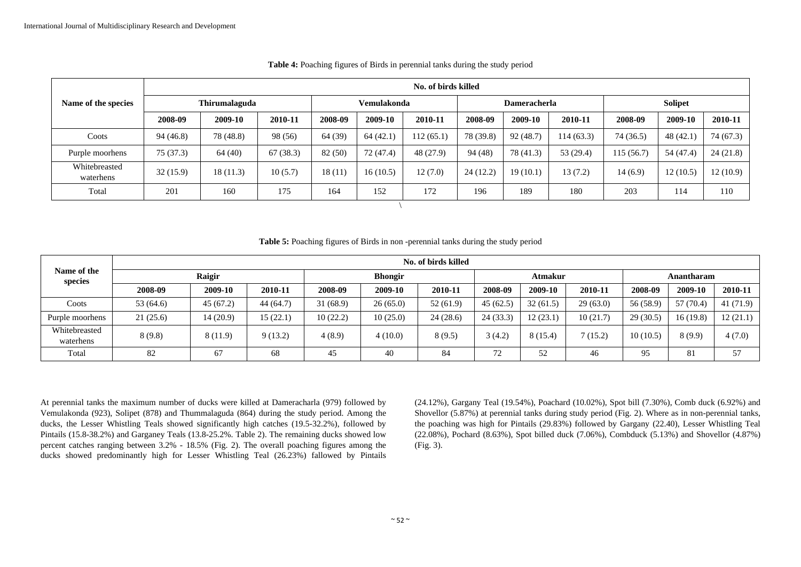|                            | No. of birds killed |           |          |             |           |           |                     |           |            |                |           |           |  |
|----------------------------|---------------------|-----------|----------|-------------|-----------|-----------|---------------------|-----------|------------|----------------|-----------|-----------|--|
| Name of the species        | Thirumalaguda       |           |          | Vemulakonda |           |           | <b>Dameracherla</b> |           |            | <b>Solipet</b> |           |           |  |
|                            | 2008-09             | 2009-10   | 2010-11  | 2008-09     | 2009-10   | 2010-11   | 2008-09             | 2009-10   | 2010-11    | 2008-09        | 2009-10   | 2010-11   |  |
| Coots                      | 94(46.8)            | 78 (48.8) | 98 (56)  | 64 (39)     | 64(42.1)  | 112(65.1) | 78 (39.8)           | 92(48.7)  | 114 (63.3) | 74 (36.5)      | 48(42.1)  | 74 (67.3) |  |
| Purple moorhens            | 75 (37.3)           | 64(40)    | 67(38.3) | 82 (50)     | 72 (47.4) | 48 (27.9) | 94 (48)             | 78 (41.3) | 53 (29.4)  | 115 (56.7)     | 54 (47.4) | 24(21.8)  |  |
| Whitebreasted<br>waterhens | 32(15.9)            | 18(11.3)  | 10(5.7)  | 18(11)      | 16(10.5)  | 12(7.0)   | 24(12.2)            | 19(10.1)  | 13(7.2)    | 14(6.9)        | 12(10.5)  | 12(10.9)  |  |
| Total                      | 201                 | 160       | 175      | 164         | 152       | 172       | 196                 | 189       | 180        | 203            | 114       | 110       |  |
|                            |                     |           |          |             |           |           |                     |           |            |                |           |           |  |

#### **Table 4:** Poaching figures of Birds in perennial tanks during the study period

**Table 5:** Poaching figures of Birds in non -perennial tanks during the study period

| Name of the<br>species     | No. of birds killed |          |           |                |          |          |          |          |          |            |           |          |  |
|----------------------------|---------------------|----------|-----------|----------------|----------|----------|----------|----------|----------|------------|-----------|----------|--|
|                            | Raigir              |          |           | <b>Bhongir</b> |          |          |          | Atmakur  |          | Anantharam |           |          |  |
|                            | 2008-09             | 2009-10  | 2010-11   | 2008-09        | 2009-10  | 2010-11  | 2008-09  | 2009-10  | 2010-11  | 2008-09    | 2009-10   | 2010-11  |  |
| Coots                      | 53 (64.6)           | 45(67.2) | 44 (64.7) | 31(68.9)       | 26(65.0) | 52(61.9) | 45(62.5) | 32(61.5) | 29(63.0) | 56 (58.9)  | 57 (70.4) | 41(71.9) |  |
| Purple moorhens            | 21(25.6)            | 14(20.9) | 15(22.1)  | 10(22.2)       | 10(25.0) | 24(28.6) | 24(33.3) | 12(23.1) | 10(21.7) | 29(30.5)   | 16(19.8)  | 12(21.1) |  |
| Whitebreasted<br>waterhens | 8(9.8)              | 8(11.9)  | 9(13.2)   | 4(8.9)         | 4(10.0)  | 8(9.5)   | 3(4.2)   | 8(15.4)  | (15.2)   | 10(10.5)   | 8(9.9)    | 4(7.0)   |  |
| Total                      | 82                  | 67       | 68        | 45             | 40       | 84       | 72       | 52       | 46       | 95         | 81        | 57       |  |

At perennial tanks the maximum number of ducks were killed at Dameracharla (979) followed by Vemulakonda (923), Solipet (878) and Thummalaguda (864) during the study period. Among the ducks, the Lesser Whistling Teals showed significantly high catches (19.5-32.2%), followed by Pintails (15.8-38.2%) and Garganey Teals (13.8-25.2%. Table 2). The remaining ducks showed low percent catches ranging between 3.2% - 18.5% (Fig. 2). The overall poaching figures among the ducks showed predominantly high for Lesser Whistling Teal (26.23%) fallowed by Pintails (24.12%), Gargany Teal (19.54%), Poachard (10.02%), Spot bill (7.30%), Comb duck (6.92%) and Shovellor (5.87%) at perennial tanks during study period (Fig. 2). Where as in non-perennial tanks, the poaching was high for Pintails (29.83%) followed by Gargany (22.40), Lesser Whistling Teal (22.08%), Pochard (8.63%), Spot billed duck (7.06%), Combduck (5.13%) and Shovellor (4.87%) (Fig. 3).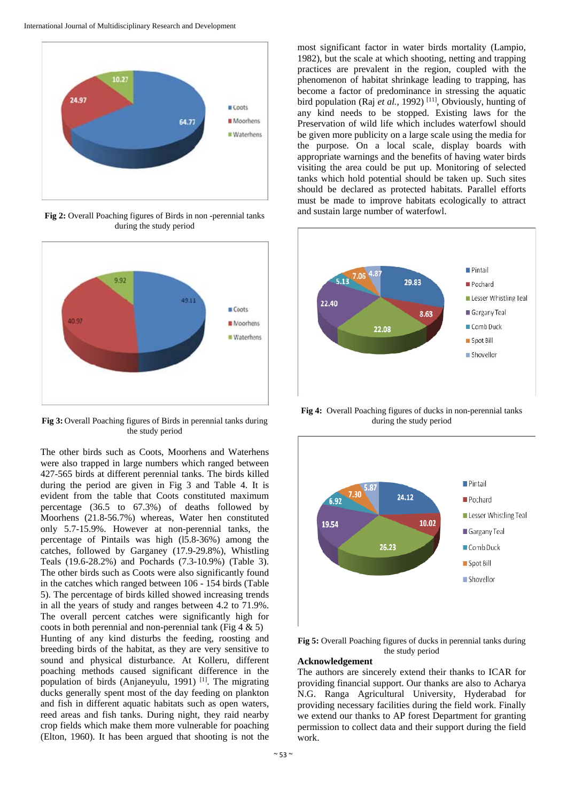

**Fig 2:** Overall Poaching figures of Birds in non -perennial tanks during the study period



**Fig 3:** Overall Poaching figures of Birds in perennial tanks during the study period

The other birds such as Coots, Moorhens and Waterhens were also trapped in large numbers which ranged between 427-565 birds at different perennial tanks. The birds killed during the period are given in Fig 3 and Table 4. It is evident from the table that Coots constituted maximum percentage (36.5 to 67.3%) of deaths followed by Moorhens (21.8-56.7%) whereas, Water hen constituted only 5.7-15.9%. However at non-perennial tanks, the percentage of Pintails was high (l5.8-36%) among the catches, followed by Garganey (17.9-29.8%), Whistling Teals (19.6-28.2%) and Pochards (7.3-10.9%) (Table 3). The other birds such as Coots were also significantly found in the catches which ranged between 106 - 154 birds (Table 5). The percentage of birds killed showed increasing trends in all the years of study and ranges between 4.2 to 71.9%. The overall percent catches were significantly high for coots in both perennial and non-perennial tank (Fig  $4 \& 5$ ) Hunting of any kind disturbs the feeding, roosting and breeding birds of the habitat, as they are very sensitive to sound and physical disturbance. At Kolleru, different poaching methods caused significant difference in the population of birds (Anjaneyulu, 1991) [1]. The migrating ducks generally spent most of the day feeding on plankton and fish in different aquatic habitats such as open waters, reed areas and fish tanks. During night, they raid nearby crop fields which make them more vulnerable for poaching (Elton, 1960). It has been argued that shooting is not the

most significant factor in water birds mortality (Lampio, 1982), but the scale at which shooting, netting and trapping practices are prevalent in the region, coupled with the phenomenon of habitat shrinkage leading to trapping, has become a factor of predominance in stressing the aquatic bird population (Raj *et al.*, 1992)<sup>[11]</sup>, Obviously, hunting of any kind needs to be stopped. Existing laws for the Preservation of wild life which includes waterfowl should be given more publicity on a large scale using the media for the purpose. On a local scale, display boards with appropriate warnings and the benefits of having water birds visiting the area could be put up. Monitoring of selected tanks which hold potential should be taken up. Such sites should be declared as protected habitats. Parallel efforts must be made to improve habitats ecologically to attract and sustain large number of waterfowl.



**Fig 4:** Overall Poaching figures of ducks in non-perennial tanks during the study period



**Fig 5:** Overall Poaching figures of ducks in perennial tanks during the study period

#### **Acknowledgement**

The authors are sincerely extend their thanks to ICAR for providing financial support. Our thanks are also to Acharya N.G. Ranga Agricultural University, Hyderabad for providing necessary facilities during the field work. Finally we extend our thanks to AP forest Department for granting permission to collect data and their support during the field work.